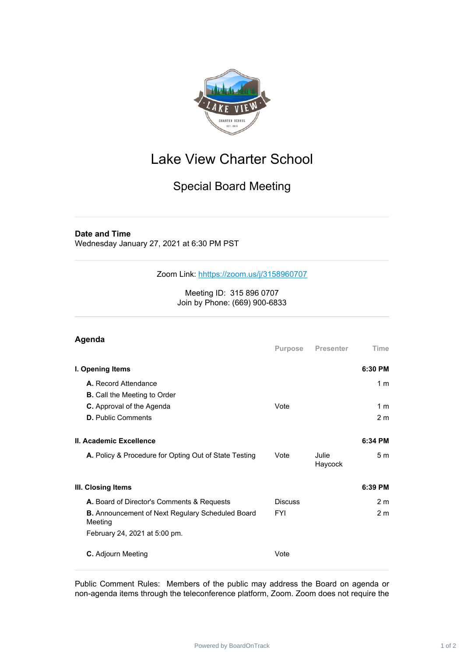

## Lake View Charter School

## Special Board Meeting

## **Date and Time**

Wednesday January 27, 2021 at 6:30 PM PST

Zoom Link: [h](https://zoom.us/j/98313547517)<https://zoom.us/j/3158960707>

Meeting ID: 315 896 0707 Join by Phone: (669) 900-6833

## **Agenda Purpose Presenter Time I. Opening Items 6:30 PM A.** Record Attendance 1 m **B.** Call the Meeting to Order **C.** Approval of the Agenda **Vote** Vote 1 m **D.** Public Comments 2 m **II. Academic Excellence 6:34 PM A.** Policy & Procedure for Opting Out of State Testing Vote Julie Haycock 5 m **III. Closing Items 6:39 PM A.** Board of Director's Comments & Requests Discuss Discuss 2 m **B.** Announcement of Next Regulary Scheduled Board Meeting FYI 2 m February 24, 2021 at 5:00 pm. **C.** Adjourn Meeting **Vote** Vote

Public Comment Rules: Members of the public may address the Board on agenda or non-agenda items through the teleconference platform, Zoom. Zoom does not require the